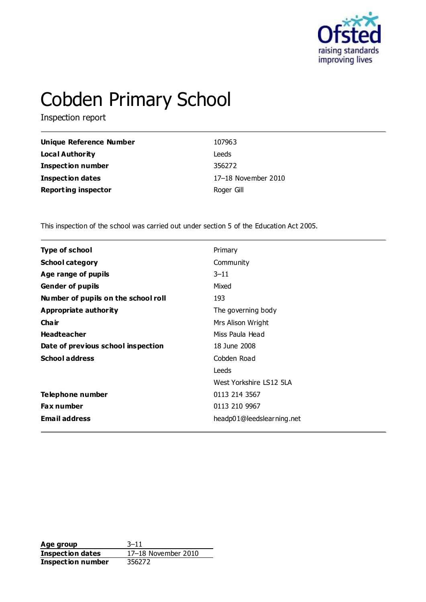

# Cobden Primary School

Inspection report

| Unique Reference Number    | 107963              |
|----------------------------|---------------------|
| <b>Local Authority</b>     | Leeds               |
| <b>Inspection number</b>   | 356272              |
| <b>Inspection dates</b>    | 17-18 November 2010 |
| <b>Reporting inspector</b> | Roger Gill          |

This inspection of the school was carried out under section 5 of the Education Act 2005.

| <b>Type of school</b>               | Primary                   |  |
|-------------------------------------|---------------------------|--|
| <b>School category</b>              | Community                 |  |
| Age range of pupils                 | $3 - 11$                  |  |
| <b>Gender of pupils</b>             | Mixed                     |  |
| Number of pupils on the school roll | 193                       |  |
| Appropriate authority               | The governing body        |  |
| Cha ir                              | Mrs Alison Wright         |  |
| <b>Headteacher</b>                  | Miss Paula Head           |  |
| Date of previous school inspection  | 18 June 2008              |  |
| <b>School address</b>               | Cobden Road               |  |
|                                     | Leeds                     |  |
|                                     | West Yorkshire LS12 5LA   |  |
| Telephone number                    | 0113 214 3567             |  |
| Fax number                          | 0113 210 9967             |  |
| <b>Email address</b>                | headp01@leedslearning.net |  |
|                                     |                           |  |

**Age group** 3–11 **Inspection dates** 17–18 November 2010 **Inspection number** 356272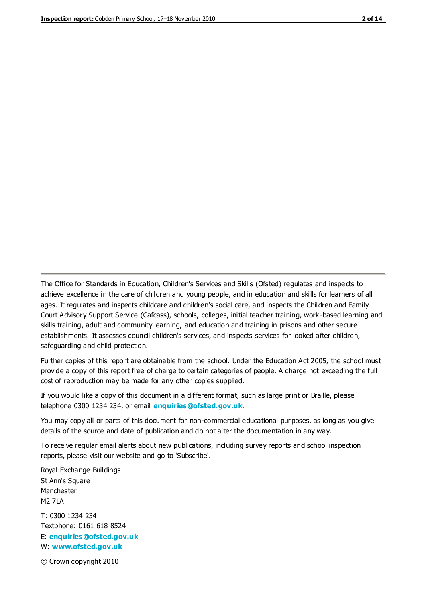The Office for Standards in Education, Children's Services and Skills (Ofsted) regulates and inspects to achieve excellence in the care of children and young people, and in education and skills for learners of all ages. It regulates and inspects childcare and children's social care, and inspects the Children and Family Court Advisory Support Service (Cafcass), schools, colleges, initial teacher training, work-based learning and skills training, adult and community learning, and education and training in prisons and other secure establishments. It assesses council children's services, and inspects services for looked after children, safeguarding and child protection.

Further copies of this report are obtainable from the school. Under the Education Act 2005, the school must provide a copy of this report free of charge to certain categories of people. A charge not exceeding the full cost of reproduction may be made for any other copies supplied.

If you would like a copy of this document in a different format, such as large print or Braille, please telephone 0300 1234 234, or email **[enquiries@ofsted.gov.uk](mailto:enquiries@ofsted.gov.uk)**.

You may copy all or parts of this document for non-commercial educational purposes, as long as you give details of the source and date of publication and do not alter the documentation in any way.

To receive regular email alerts about new publications, including survey reports and school inspection reports, please visit our website and go to 'Subscribe'.

Royal Exchange Buildings St Ann's Square Manchester M2 7LA T: 0300 1234 234 Textphone: 0161 618 8524 E: **[enquiries@ofsted.gov.uk](mailto:enquiries@ofsted.gov.uk)**

W: **[www.ofsted.gov.uk](http://www.ofsted.gov.uk/)**

© Crown copyright 2010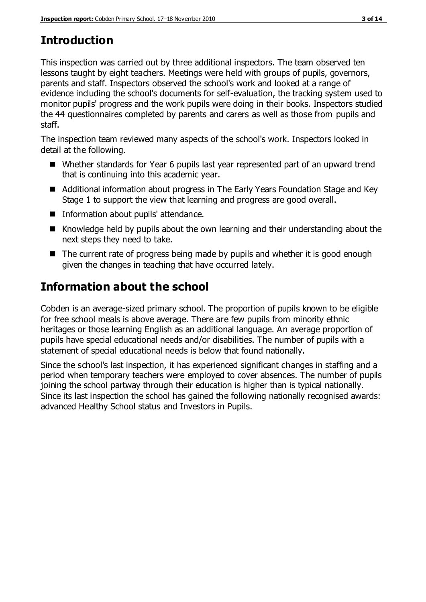## **Introduction**

This inspection was carried out by three additional inspectors. The team observed ten lessons taught by eight teachers. Meetings were held with groups of pupils, governors, parents and staff. Inspectors observed the school's work and looked at a range of evidence including the school's documents for self-evaluation, the tracking system used to monitor pupils' progress and the work pupils were doing in their books. Inspectors studied the 44 questionnaires completed by parents and carers as well as those from pupils and staff.

The inspection team reviewed many aspects of the school's work. Inspectors looked in detail at the following.

- Whether standards for Year 6 pupils last year represented part of an upward trend that is continuing into this academic year.
- Additional information about progress in The Early Years Foundation Stage and Key Stage 1 to support the view that learning and progress are good overall.
- **Information about pupils' attendance.**
- Knowledge held by pupils about the own learning and their understanding about the next steps they need to take.
- The current rate of progress being made by pupils and whether it is good enough given the changes in teaching that have occurred lately.

## **Information about the school**

Cobden is an average-sized primary school. The proportion of pupils known to be eligible for free school meals is above average. There are few pupils from minority ethnic heritages or those learning English as an additional language. An average proportion of pupils have special educational needs and/or disabilities. The number of pupils with a statement of special educational needs is below that found nationally.

Since the school's last inspection, it has experienced significant changes in staffing and a period when temporary teachers were employed to cover absences. The number of pupils joining the school partway through their education is higher than is typical nationally. Since its last inspection the school has gained the following nationally recognised awards: advanced Healthy School status and Investors in Pupils.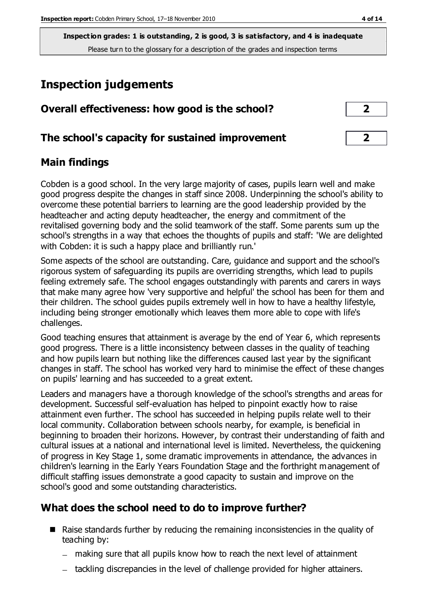**Inspection grades: 1 is outstanding, 2 is good, 3 is satisfactory, and 4 is inadequate** Please turn to the glossary for a description of the grades and inspection terms

## **Inspection judgements**

| Overall effectiveness: how good is the school?  |  |
|-------------------------------------------------|--|
| The school's capacity for sustained improvement |  |

#### **Main findings**

Cobden is a good school. In the very large majority of cases, pupils learn well and make good progress despite the changes in staff since 2008. Underpinning the school's ability to overcome these potential barriers to learning are the good leadership provided by the headteacher and acting deputy headteacher, the energy and commitment of the revitalised governing body and the solid teamwork of the staff. Some parents sum up the school's strengths in a way that echoes the thoughts of pupils and staff: 'We are delighted with Cobden: it is such a happy place and brilliantly run.'

Some aspects of the school are outstanding. Care, guidance and support and the school's rigorous system of safeguarding its pupils are overriding strengths, which lead to pupils feeling extremely safe. The school engages outstandingly with parents and carers in ways that make many agree how 'very supportive and helpful' the school has been for them and their children. The school guides pupils extremely well in how to have a healthy lifestyle, including being stronger emotionally which leaves them more able to cope with life's challenges.

Good teaching ensures that attainment is average by the end of Year 6, which represents good progress. There is a little inconsistency between classes in the quality of teaching and how pupils learn but nothing like the differences caused last year by the significant changes in staff. The school has worked very hard to minimise the effect of these changes on pupils' learning and has succeeded to a great extent.

Leaders and managers have a thorough knowledge of the school's strengths and areas for development. Successful self-evaluation has helped to pinpoint exactly how to raise attainment even further. The school has succeeded in helping pupils relate well to their local community. Collaboration between schools nearby, for example, is beneficial in beginning to broaden their horizons. However, by contrast their understanding of faith and cultural issues at a national and international level is limited. Nevertheless, the quickening of progress in Key Stage 1, some dramatic improvements in attendance, the advances in children's learning in the Early Years Foundation Stage and the forthright management of difficult staffing issues demonstrate a good capacity to sustain and improve on the school's good and some outstanding characteristics.

#### **What does the school need to do to improve further?**

- Raise standards further by reducing the remaining inconsistencies in the quality of teaching by:
	- making sure that all pupils know how to reach the next level of attainment
	- tackling discrepancies in the level of challenge provided for higher attainers.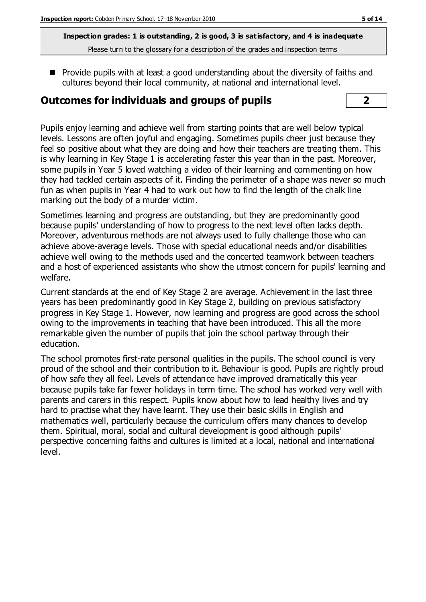**Inspection grades: 1 is outstanding, 2 is good, 3 is satisfactory, and 4 is inadequate** Please turn to the glossary for a description of the grades and inspection terms

 $\blacksquare$  Provide pupils with at least a good understanding about the diversity of faiths and cultures beyond their local community, at national and international level.

#### **Outcomes for individuals and groups of pupils 2**

Pupils enjoy learning and achieve well from starting points that are well below typical levels. Lessons are often joyful and engaging. Sometimes pupils cheer just because they feel so positive about what they are doing and how their teachers are treating them. This is why learning in Key Stage 1 is accelerating faster this year than in the past. Moreover, some pupils in Year 5 loved watching a video of their learning and commenting on how they had tackled certain aspects of it. Finding the perimeter of a shape was never so much fun as when pupils in Year 4 had to work out how to find the length of the chalk line marking out the body of a murder victim.

Sometimes learning and progress are outstanding, but they are predominantly good because pupils' understanding of how to progress to the next level often lacks depth. Moreover, adventurous methods are not always used to fully challenge those who can achieve above-average levels. Those with special educational needs and/or disabilities achieve well owing to the methods used and the concerted teamwork between teachers and a host of experienced assistants who show the utmost concern for pupils' learning and welfare.

Current standards at the end of Key Stage 2 are average. Achievement in the last three years has been predominantly good in Key Stage 2, building on previous satisfactory progress in Key Stage 1. However, now learning and progress are good across the school owing to the improvements in teaching that have been introduced. This all the more remarkable given the number of pupils that join the school partway through their education.

The school promotes first-rate personal qualities in the pupils. The school council is very proud of the school and their contribution to it. Behaviour is good. Pupils are rightly proud of how safe they all feel. Levels of attendance have improved dramatically this year because pupils take far fewer holidays in term time. The school has worked very well with parents and carers in this respect. Pupils know about how to lead healthy lives and try hard to practise what they have learnt. They use their basic skills in English and mathematics well, particularly because the curriculum offers many chances to develop them. Spiritual, moral, social and cultural development is good although pupils' perspective concerning faiths and cultures is limited at a local, national and international level.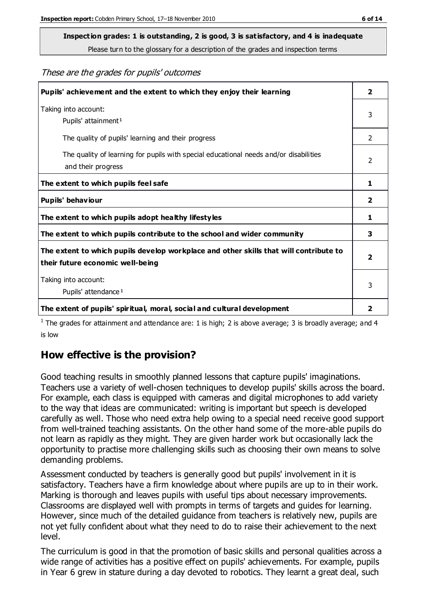Please turn to the glossary for a description of the grades and inspection terms

These are the grades for pupils' outcomes

| Pupils' achievement and the extent to which they enjoy their learning                                                     | $\overline{2}$ |
|---------------------------------------------------------------------------------------------------------------------------|----------------|
| Taking into account:<br>Pupils' attainment <sup>1</sup>                                                                   | 3              |
| The quality of pupils' learning and their progress                                                                        | $\mathcal{P}$  |
| The quality of learning for pupils with special educational needs and/or disabilities<br>and their progress               | 2              |
| The extent to which pupils feel safe                                                                                      | 1              |
| Pupils' behaviour                                                                                                         | 2              |
| The extent to which pupils adopt healthy lifestyles                                                                       | 1              |
| The extent to which pupils contribute to the school and wider community                                                   | 3              |
| The extent to which pupils develop workplace and other skills that will contribute to<br>their future economic well-being | $\overline{2}$ |
| Taking into account:<br>Pupils' attendance <sup>1</sup>                                                                   | 3              |
| The extent of pupils' spiritual, moral, social and cultural development                                                   | 2              |

<sup>1</sup> The grades for attainment and attendance are: 1 is high; 2 is above average; 3 is broadly average; and 4 is low

#### **How effective is the provision?**

Good teaching results in smoothly planned lessons that capture pupils' imaginations. Teachers use a variety of well-chosen techniques to develop pupils' skills across the board. For example, each class is equipped with cameras and digital microphones to add variety to the way that ideas are communicated: writing is important but speech is developed carefully as well. Those who need extra help owing to a special need receive good support from well-trained teaching assistants. On the other hand some of the more-able pupils do not learn as rapidly as they might. They are given harder work but occasionally lack the opportunity to practise more challenging skills such as choosing their own means to solve demanding problems.

Assessment conducted by teachers is generally good but pupils' involvement in it is satisfactory. Teachers have a firm knowledge about where pupils are up to in their work. Marking is thorough and leaves pupils with useful tips about necessary improvements. Classrooms are displayed well with prompts in terms of targets and guides for learning. However, since much of the detailed guidance from teachers is relatively new, pupils are not yet fully confident about what they need to do to raise their achievement to the next level.

The curriculum is good in that the promotion of basic skills and personal qualities across a wide range of activities has a positive effect on pupils' achievements. For example, pupils in Year 6 grew in stature during a day devoted to robotics. They learnt a great deal, such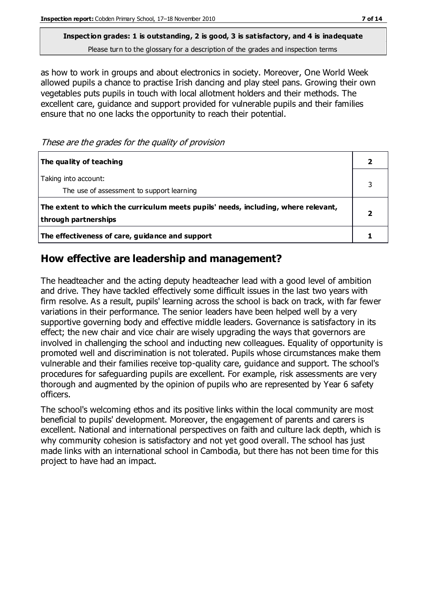Please turn to the glossary for a description of the grades and inspection terms

as how to work in groups and about electronics in society. Moreover, One World Week allowed pupils a chance to practise Irish dancing and play steel pans. Growing their own vegetables puts pupils in touch with local allotment holders and their methods. The excellent care, guidance and support provided for vulnerable pupils and their families ensure that no one lacks the opportunity to reach their potential.

#### These are the grades for the quality of provision

| The quality of teaching                                                                                    |  |
|------------------------------------------------------------------------------------------------------------|--|
| Taking into account:<br>The use of assessment to support learning                                          |  |
| The extent to which the curriculum meets pupils' needs, including, where relevant,<br>through partnerships |  |
| The effectiveness of care, guidance and support                                                            |  |

#### **How effective are leadership and management?**

The headteacher and the acting deputy headteacher lead with a good level of ambition and drive. They have tackled effectively some difficult issues in the last two years with firm resolve. As a result, pupils' learning across the school is back on track, with far fewer variations in their performance. The senior leaders have been helped well by a very supportive governing body and effective middle leaders. Governance is satisfactory in its effect; the new chair and vice chair are wisely upgrading the ways that governors are involved in challenging the school and inducting new colleagues. Equality of opportunity is promoted well and discrimination is not tolerated. Pupils whose circumstances make them vulnerable and their families receive top-quality care, guidance and support. The school's procedures for safeguarding pupils are excellent. For example, risk assessments are very thorough and augmented by the opinion of pupils who are represented by Year 6 safety officers.

The school's welcoming ethos and its positive links within the local community are most beneficial to pupils' development. Moreover, the engagement of parents and carers is excellent. National and international perspectives on faith and culture lack depth, which is why community cohesion is satisfactory and not yet good overall. The school has just made links with an international school in Cambodia, but there has not been time for this project to have had an impact.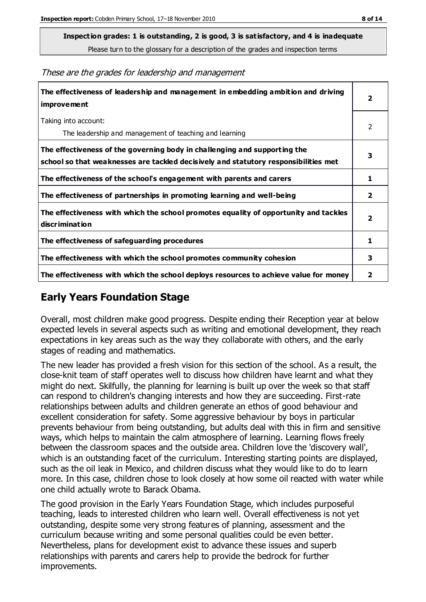Please turn to the glossary for a description of the grades and inspection terms

These are the grades for leadership and management

| The effectiveness of leadership and management in embedding ambition and driving<br>improvement                                                                  | $\overline{2}$          |
|------------------------------------------------------------------------------------------------------------------------------------------------------------------|-------------------------|
| Taking into account:<br>The leadership and management of teaching and learning                                                                                   | 2                       |
| The effectiveness of the governing body in challenging and supporting the<br>school so that weaknesses are tackled decisively and statutory responsibilities met | 3                       |
| The effectiveness of the school's engagement with parents and carers                                                                                             | 1                       |
| The effectiveness of partnerships in promoting learning and well-being                                                                                           | 2                       |
| The effectiveness with which the school promotes equality of opportunity and tackles<br>discrimination                                                           | $\overline{\mathbf{2}}$ |
| The effectiveness of safeguarding procedures                                                                                                                     | 1                       |
| The effectiveness with which the school promotes community cohesion                                                                                              | 3                       |
| The effectiveness with which the school deploys resources to achieve value for money                                                                             | 2                       |

#### **Early Years Foundation Stage**

Overall, most children make good progress. Despite ending their Reception year at below expected levels in several aspects such as writing and emotional development, they reach expectations in key areas such as the way they collaborate with others, and the early stages of reading and mathematics.

The new leader has provided a fresh vision for this section of the school. As a result, the close-knit team of staff operates well to discuss how children have learnt and what they might do next. Skilfully, the planning for learning is built up over the week so that staff can respond to children's changing interests and how they are succeeding. First-rate relationships between adults and children generate an ethos of good behaviour and excellent consideration for safety. Some aggressive behaviour by boys in particular prevents behaviour from being outstanding, but adults deal with this in firm and sensitive ways, which helps to maintain the calm atmosphere of learning. Learning flows freely between the classroom spaces and the outside area. Children love the 'discovery wall', which is an outstanding facet of the curriculum. Interesting starting points are displayed, such as the oil leak in Mexico, and children discuss what they would like to do to learn more. In this case, children chose to look closely at how some oil reacted with water while one child actually wrote to Barack Obama.

The good provision in the Early Years Foundation Stage, which includes purposeful teaching, leads to interested children who learn well. Overall effectiveness is not yet outstanding, despite some very strong features of planning, assessment and the curriculum because writing and some personal qualities could be even better. Nevertheless, plans for development exist to advance these issues and superb relationships with parents and carers help to provide the bedrock for further improvements.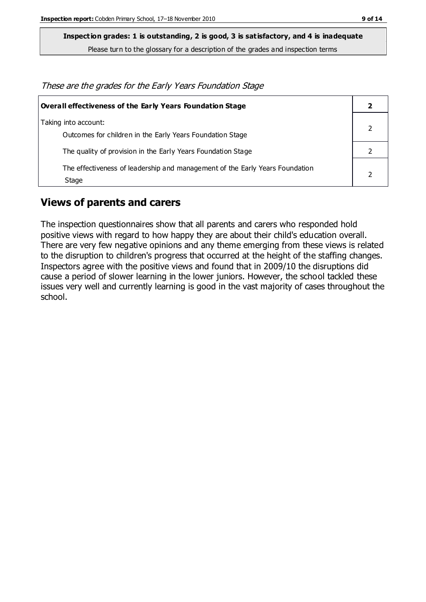Please turn to the glossary for a description of the grades and inspection terms

These are the grades for the Early Years Foundation Stage

| Overall effectiveness of the Early Years Foundation Stage                             |  |
|---------------------------------------------------------------------------------------|--|
| Taking into account:<br>Outcomes for children in the Early Years Foundation Stage     |  |
| The quality of provision in the Early Years Foundation Stage                          |  |
| The effectiveness of leadership and management of the Early Years Foundation<br>Stage |  |

#### **Views of parents and carers**

The inspection questionnaires show that all parents and carers who responded hold positive views with regard to how happy they are about their child's education overall. There are very few negative opinions and any theme emerging from these views is related to the disruption to children's progress that occurred at the height of the staffing changes. Inspectors agree with the positive views and found that in 2009/10 the disruptions did cause a period of slower learning in the lower juniors. However, the school tackled these issues very well and currently learning is good in the vast majority of cases throughout the school.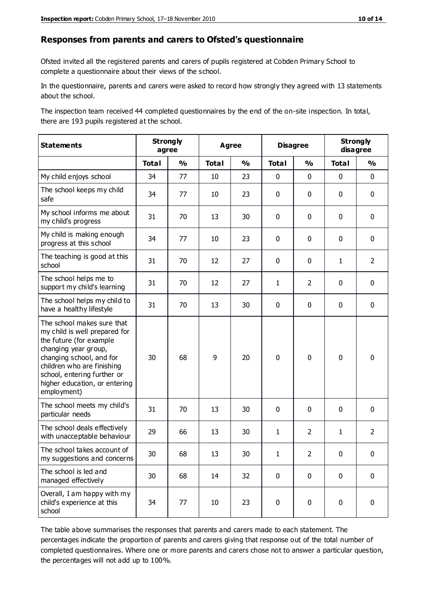#### **Responses from parents and carers to Ofsted's questionnaire**

Ofsted invited all the registered parents and carers of pupils registered at Cobden Primary School to complete a questionnaire about their views of the school.

In the questionnaire, parents and carers were asked to record how strongly they agreed with 13 statements about the school.

The inspection team received 44 completed questionnaires by the end of the on-site inspection. In total, there are 193 pupils registered at the school.

| <b>Statements</b>                                                                                                                                                                                                                                       | <b>Strongly</b><br>agree |               | <b>Agree</b> |               | <b>Disagree</b> |                | <b>Strongly</b><br>disagree |                |
|---------------------------------------------------------------------------------------------------------------------------------------------------------------------------------------------------------------------------------------------------------|--------------------------|---------------|--------------|---------------|-----------------|----------------|-----------------------------|----------------|
|                                                                                                                                                                                                                                                         | <b>Total</b>             | $\frac{1}{2}$ | <b>Total</b> | $\frac{1}{2}$ | <b>Total</b>    | $\frac{1}{2}$  | <b>Total</b>                | $\frac{1}{2}$  |
| My child enjoys school                                                                                                                                                                                                                                  | 34                       | 77            | 10           | 23            | 0               | $\mathbf 0$    | $\mathbf 0$                 | $\mathbf 0$    |
| The school keeps my child<br>safe                                                                                                                                                                                                                       | 34                       | 77            | 10           | 23            | 0               | $\mathbf 0$    | $\mathbf 0$                 | $\mathbf 0$    |
| My school informs me about<br>my child's progress                                                                                                                                                                                                       | 31                       | 70            | 13           | 30            | 0               | $\mathbf{0}$   | $\mathbf 0$                 | $\mathbf 0$    |
| My child is making enough<br>progress at this school                                                                                                                                                                                                    | 34                       | 77            | 10           | 23            | 0               | $\mathbf 0$    | $\mathbf 0$                 | $\mathbf 0$    |
| The teaching is good at this<br>school                                                                                                                                                                                                                  | 31                       | 70            | 12           | 27            | 0               | $\mathbf 0$    | $\mathbf{1}$                | $\overline{2}$ |
| The school helps me to<br>support my child's learning                                                                                                                                                                                                   | 31                       | 70            | 12           | 27            | $\mathbf{1}$    | $\overline{2}$ | $\mathbf 0$                 | $\mathbf 0$    |
| The school helps my child to<br>have a healthy lifestyle                                                                                                                                                                                                | 31                       | 70            | 13           | 30            | 0               | $\mathbf 0$    | $\mathbf 0$                 | $\mathbf 0$    |
| The school makes sure that<br>my child is well prepared for<br>the future (for example<br>changing year group,<br>changing school, and for<br>children who are finishing<br>school, entering further or<br>higher education, or entering<br>employment) | 30                       | 68            | 9            | 20            | $\mathbf 0$     | $\mathbf 0$    | $\mathbf 0$                 | $\mathbf 0$    |
| The school meets my child's<br>particular needs                                                                                                                                                                                                         | 31                       | 70            | 13           | 30            | $\pmb{0}$       | $\mathbf 0$    | $\mathbf 0$                 | $\mathbf 0$    |
| The school deals effectively<br>with unacceptable behaviour                                                                                                                                                                                             | 29                       | 66            | 13           | 30            | $\mathbf{1}$    | $\overline{2}$ | $\mathbf{1}$                | $\overline{2}$ |
| The school takes account of<br>my suggestions and concerns                                                                                                                                                                                              | 30                       | 68            | 13           | 30            | 1               | $\mathcal{P}$  | $\Omega$                    | 0              |
| The school is led and<br>managed effectively                                                                                                                                                                                                            | 30                       | 68            | 14           | 32            | $\mathbf 0$     | $\mathbf 0$    | $\mathbf 0$                 | $\mathbf 0$    |
| Overall, I am happy with my<br>child's experience at this<br>school                                                                                                                                                                                     | 34                       | 77            | 10           | 23            | $\pmb{0}$       | $\mathbf 0$    | $\mathbf 0$                 | $\pmb{0}$      |

The table above summarises the responses that parents and carers made to each statement. The percentages indicate the proportion of parents and carers giving that response out of the total number of completed questionnaires. Where one or more parents and carers chose not to answer a particular question, the percentages will not add up to 100%.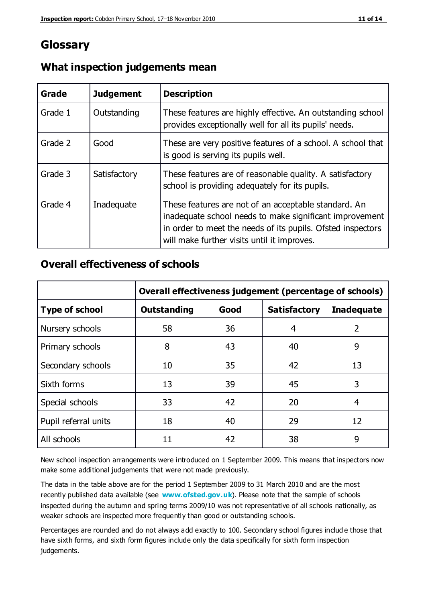### **Glossary**

| Grade   | <b>Judgement</b> | <b>Description</b>                                                                                                                                                                                                            |
|---------|------------------|-------------------------------------------------------------------------------------------------------------------------------------------------------------------------------------------------------------------------------|
| Grade 1 | Outstanding      | These features are highly effective. An outstanding school<br>provides exceptionally well for all its pupils' needs.                                                                                                          |
| Grade 2 | Good             | These are very positive features of a school. A school that<br>is good is serving its pupils well.                                                                                                                            |
| Grade 3 | Satisfactory     | These features are of reasonable quality. A satisfactory<br>school is providing adequately for its pupils.                                                                                                                    |
| Grade 4 | Inadequate       | These features are not of an acceptable standard. An<br>inadequate school needs to make significant improvement<br>in order to meet the needs of its pupils. Ofsted inspectors<br>will make further visits until it improves. |

#### **What inspection judgements mean**

#### **Overall effectiveness of schools**

|                       | Overall effectiveness judgement (percentage of schools) |      |                     |                   |
|-----------------------|---------------------------------------------------------|------|---------------------|-------------------|
| <b>Type of school</b> | <b>Outstanding</b>                                      | Good | <b>Satisfactory</b> | <b>Inadequate</b> |
| Nursery schools       | 58                                                      | 36   | 4                   | 2                 |
| Primary schools       | 8                                                       | 43   | 40                  | 9                 |
| Secondary schools     | 10                                                      | 35   | 42                  | 13                |
| Sixth forms           | 13                                                      | 39   | 45                  | 3                 |
| Special schools       | 33                                                      | 42   | 20                  | 4                 |
| Pupil referral units  | 18                                                      | 40   | 29                  | 12                |
| All schools           | 11                                                      | 42   | 38                  | 9                 |

New school inspection arrangements were introduced on 1 September 2009. This means that inspectors now make some additional judgements that were not made previously.

The data in the table above are for the period 1 September 2009 to 31 March 2010 and are the most recently published data available (see **[www.ofsted.gov.uk](http://www.ofsted.gov.uk/)**). Please note that the sample of schools inspected during the autumn and spring terms 2009/10 was not representative of all schools nationally, as weaker schools are inspected more frequently than good or outstanding schools.

Percentages are rounded and do not always add exactly to 100. Secondary school figures includ e those that have sixth forms, and sixth form figures include only the data specifically for sixth form inspection judgements.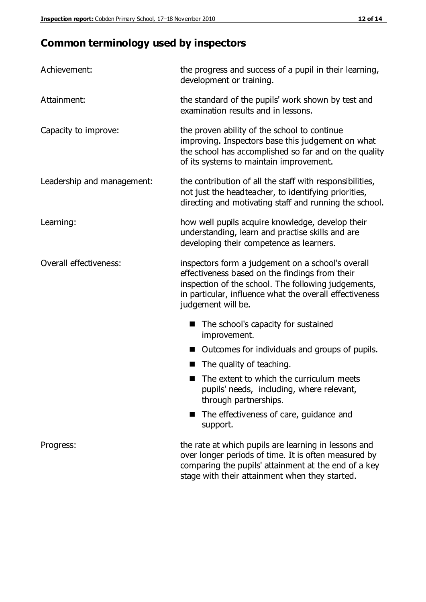## **Common terminology used by inspectors**

| Achievement:                  | the progress and success of a pupil in their learning,<br>development or training.                                                                                                                                                          |  |
|-------------------------------|---------------------------------------------------------------------------------------------------------------------------------------------------------------------------------------------------------------------------------------------|--|
| Attainment:                   | the standard of the pupils' work shown by test and<br>examination results and in lessons.                                                                                                                                                   |  |
| Capacity to improve:          | the proven ability of the school to continue<br>improving. Inspectors base this judgement on what<br>the school has accomplished so far and on the quality<br>of its systems to maintain improvement.                                       |  |
| Leadership and management:    | the contribution of all the staff with responsibilities,<br>not just the headteacher, to identifying priorities,<br>directing and motivating staff and running the school.                                                                  |  |
| Learning:                     | how well pupils acquire knowledge, develop their<br>understanding, learn and practise skills and are<br>developing their competence as learners.                                                                                            |  |
| <b>Overall effectiveness:</b> | inspectors form a judgement on a school's overall<br>effectiveness based on the findings from their<br>inspection of the school. The following judgements,<br>in particular, influence what the overall effectiveness<br>judgement will be. |  |
|                               | The school's capacity for sustained<br>improvement.                                                                                                                                                                                         |  |
|                               | Outcomes for individuals and groups of pupils.                                                                                                                                                                                              |  |
|                               | The quality of teaching.                                                                                                                                                                                                                    |  |
|                               | The extent to which the curriculum meets<br>pupils' needs, including, where relevant,<br>through partnerships.                                                                                                                              |  |
|                               | The effectiveness of care, guidance and<br>support.                                                                                                                                                                                         |  |
| Progress:                     | the rate at which pupils are learning in lessons and<br>over longer periods of time. It is often measured by<br>comparing the pupils' attainment at the end of a key                                                                        |  |

stage with their attainment when they started.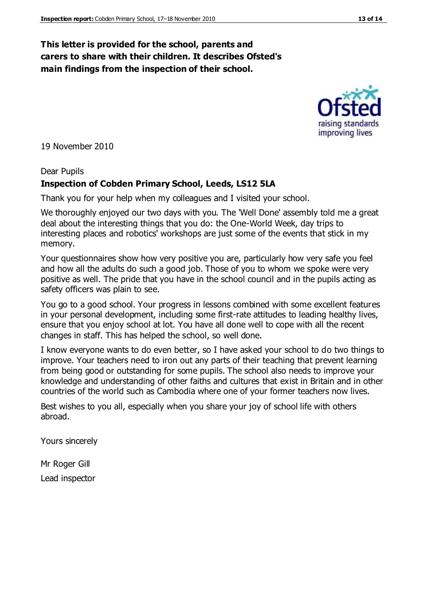#### **This letter is provided for the school, parents and carers to share with their children. It describes Ofsted's main findings from the inspection of their school.**

19 November 2010

#### Dear Pupils

#### **Inspection of Cobden Primary School, Leeds, LS12 5LA**

Thank you for your help when my colleagues and I visited your school.

We thoroughly enjoyed our two days with you. The 'Well Done' assembly told me a great deal about the interesting things that you do: the One-World Week, day trips to interesting places and robotics' workshops are just some of the events that stick in my memory.

Your questionnaires show how very positive you are, particularly how very safe you feel and how all the adults do such a good job. Those of you to whom we spoke were very positive as well. The pride that you have in the school council and in the pupils acting as safety officers was plain to see.

You go to a good school. Your progress in lessons combined with some excellent features in your personal development, including some first-rate attitudes to leading healthy lives, ensure that you enjoy school at lot. You have all done well to cope with all the recent changes in staff. This has helped the school, so well done.

I know everyone wants to do even better, so I have asked your school to do two things to improve. Your teachers need to iron out any parts of their teaching that prevent learning from being good or outstanding for some pupils. The school also needs to improve your knowledge and understanding of other faiths and cultures that exist in Britain and in other countries of the world such as Cambodia where one of your former teachers now lives.

Best wishes to you all, especially when you share your joy of school life with others abroad.

Yours sincerely

Mr Roger Gill Lead inspector